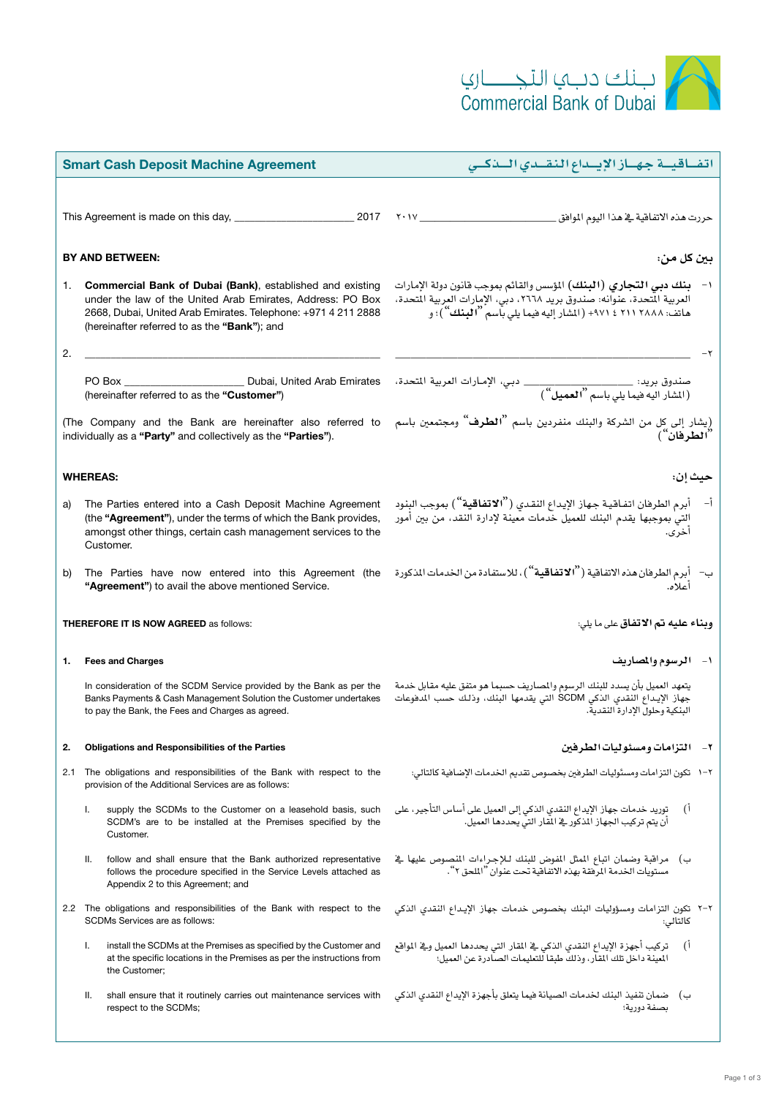

| <b>Smart Cash Deposit Machine Agreement</b>                                                                                 |                                                        |                                                                                                                                                                                                                                                  | اتفاقية جهاز الإيداع النقدي البذكي                                                                                                                                                                                        |
|-----------------------------------------------------------------------------------------------------------------------------|--------------------------------------------------------|--------------------------------------------------------------------------------------------------------------------------------------------------------------------------------------------------------------------------------------------------|---------------------------------------------------------------------------------------------------------------------------------------------------------------------------------------------------------------------------|
|                                                                                                                             |                                                        |                                                                                                                                                                                                                                                  |                                                                                                                                                                                                                           |
|                                                                                                                             |                                                        |                                                                                                                                                                                                                                                  |                                                                                                                                                                                                                           |
| <b>BY AND BETWEEN:</b>                                                                                                      |                                                        |                                                                                                                                                                                                                                                  |                                                                                                                                                                                                                           |
| 1.                                                                                                                          |                                                        | <b>Commercial Bank of Dubai (Bank)</b> , established and existing<br>under the law of the United Arab Emirates, Address: PO Box<br>2668, Dubai, United Arab Emirates. Telephone: +971 4 211 2888<br>(hereinafter referred to as the "Bank"); and | ١-   بنك دبي التجاري (البنك) المؤسس والقائم بموجب قانون دولة الإمارات<br>العربية المتحدة، عنوانه: صندوق بريد ٢٦٦٨، دبي، الإمارات العربية المتحدة،<br>هاتف: ٢٨٨٨ ٢١١ ٤ ٩٧١+ (المثار إليه فيما يلي باسم <b>"البنك</b> ")؛ و |
| 2.                                                                                                                          |                                                        |                                                                                                                                                                                                                                                  |                                                                                                                                                                                                                           |
|                                                                                                                             |                                                        | PO Box _______________________________ Dubai, United Arab Emirates<br>(hereinafter referred to as the "Customer")                                                                                                                                | صندوق بريد: ________________________ دبي، الإمـارات العربية المتحدة،<br>(الشار اليه فيما يلي باسم <sup>"</sup> العميل")                                                                                                   |
| (The Company and the Bank are hereinafter also referred to<br>individually as a "Party" and collectively as the "Parties"). |                                                        |                                                                                                                                                                                                                                                  | (يشار إلى كل من الشركة والبنك منفردين باسم <b>"الطرف</b> " ومجتمعين باسم<br>" <b>الطرفان</b> ")                                                                                                                           |
| <b>WHEREAS:</b><br>حيث إن:                                                                                                  |                                                        |                                                                                                                                                                                                                                                  |                                                                                                                                                                                                                           |
| a)                                                                                                                          |                                                        | The Parties entered into a Cash Deposit Machine Agreement<br>(the "Agreement"), under the terms of which the Bank provides,<br>amongst other things, certain cash management services to the<br>Customer.                                        | أ–    أبرم الطرهان اتفـاقـيـة جـهـاز الإيـداع النقـدي ( <sup>‹</sup> ` <b>الاتفـاقـية</b> '') بموجب البنـود<br>إلتي بموجبها يقدم البنك للعميل خدمات معينة لإدارة النقد، من بين أمور<br>اخر ی.                             |
| b)                                                                                                                          |                                                        | The Parties have now entered into this Agreement (the<br>"Agreement") to avail the above mentioned Service.                                                                                                                                      | ب-    أبرم الطرفان <i>هذه</i> الاتفاقية ( <sup>"</sup> الاتفاقية " ) ، للاستفادة من الخدمات المذكورة<br>آعلاه.                                                                                                            |
| <b>THEREFORE IT IS NOW AGREED as follows:</b>                                                                               |                                                        |                                                                                                                                                                                                                                                  | وبناء عليه تم الاتفاق على ما يلي:                                                                                                                                                                                         |
| 1.                                                                                                                          |                                                        | <b>Fees and Charges</b>                                                                                                                                                                                                                          | ١- الرسوم والمصاريف                                                                                                                                                                                                       |
|                                                                                                                             |                                                        | In consideration of the SCDM Service provided by the Bank as per the<br>Banks Payments & Cash Management Solution the Customer undertakes<br>to pay the Bank, the Fees and Charges as agreed.                                                    | يتعهد العميل بأن يسدد للبنك الرسوم والمصاريف حسبما هو متفق عليه مقابل خدمة<br>جهاز الإيداع النقدي الذكي SCDM التي يقدمها البنك، وذلك حسب المدفوعات<br>البنكية وحلول الإدارة النقدية.                                      |
| 2.                                                                                                                          | <b>Obligations and Responsibilities of the Parties</b> |                                                                                                                                                                                                                                                  | ٢- ١ التزامات ومسئوليات الطرفين                                                                                                                                                                                           |
| 2.1                                                                                                                         |                                                        | The obligations and responsibilities of the Bank with respect to the<br>provision of the Additional Services are as follows:                                                                                                                     | ٢–١   تكون التزامات ومسئوليات الطرفين بخصوص تقديم الخدمات الإضافية كالتالي:                                                                                                                                               |
|                                                                                                                             | Τ.                                                     | supply the SCDMs to the Customer on a leasehold basis, such<br>SCDM's are to be installed at the Premises specified by the<br>Customer.                                                                                                          | توريد خدمات جهاز الإيداع النقدي الذكي إلى العميل على أساس التأجير، على<br>آ)<br>أن يتم تركيب الجهاز الذكور في المقار التي يحددها العميل.                                                                                  |
|                                                                                                                             | Ш.                                                     | follow and shall ensure that the Bank authorized representative<br>follows the procedure specified in the Service Levels attached as<br>Appendix 2 to this Agreement; and                                                                        | ب) مراقبة وضمان اتباع المثل المفوض للبنك للإجراءات المنصوص عليها في<br>مستويات الخدمة المرفقة بهذه الاتفاقية تحت عنوان "الملحق ٢".                                                                                        |
|                                                                                                                             |                                                        | 2.2 The obligations and responsibilities of the Bank with respect to the<br><b>SCDMs Services are as follows:</b>                                                                                                                                | ٢-٢ تكون التزامات ومسؤوليات البنك بخصوص خدمات جهاز الإيداع النقدى الذكى<br>كالتالي:                                                                                                                                       |
|                                                                                                                             | Ι.                                                     | install the SCDMs at the Premises as specified by the Customer and<br>at the specific locations in the Premises as per the instructions from<br>the Customer;                                                                                    | تركيب أجهزة الإيداع النقدي الذكي فج المقار التي يحددها العميل وفج المواقع<br>آ)<br>المبينة داخل تلك المقار، وذلك طبقا للتعليمات الصادرة عن العميل؛                                                                        |
|                                                                                                                             | Ш.                                                     | shall ensure that it routinely carries out maintenance services with<br>respect to the SCDMs;                                                                                                                                                    | ب) ضمان تنفيذ البنك لخدمات الصيانة فيما يتعلق بأجهزة الإيداع النقدى الذكى<br>بصفة دورية؛                                                                                                                                  |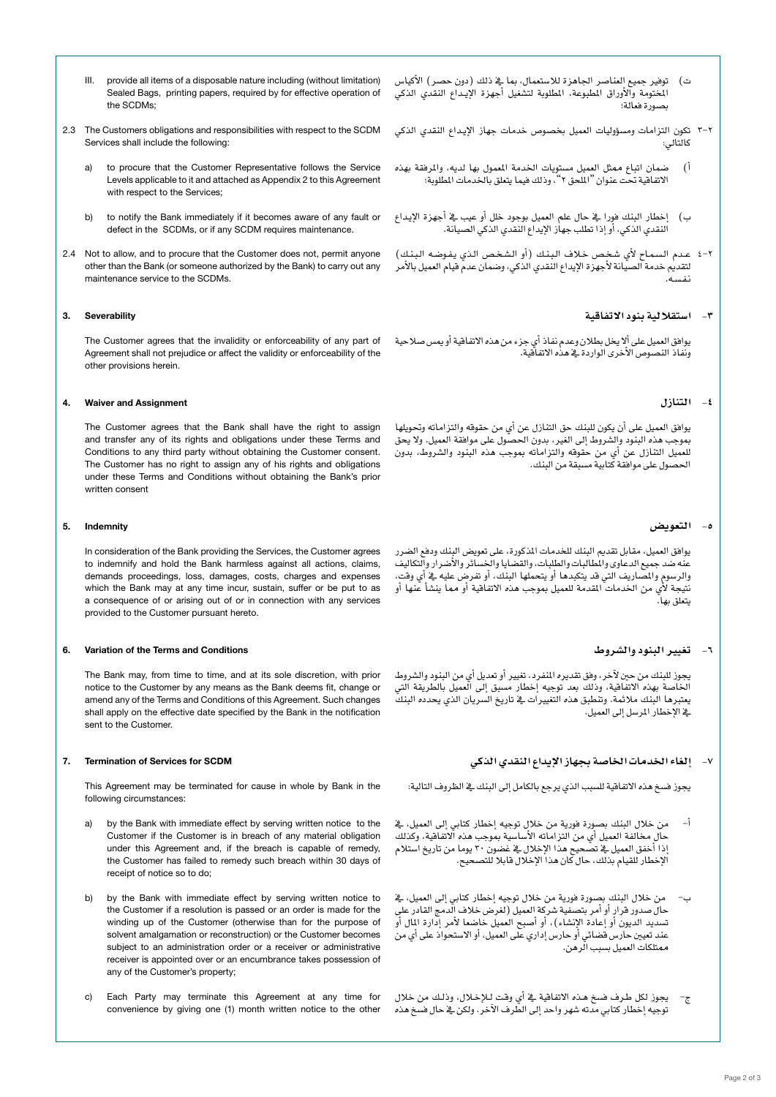- III. provide all items of a disposable nature including (without limitation) Sealed Bags, printing papers, required by for effective operation of the SCDMs;
- 2.3 The Customers obligations and responsibilities with respect to the SCDM Services shall include the following:
	- a) to procure that the Customer Representative follows the Service Levels applicable to it and attached as Appendix 2 to this Agreement with respect to the Services:
	- b) to notify the Bank immediately if it becomes aware of any fault or defect in the SCDMs, or if any SCDM requires maintenance.
- 2.4 Not to allow, and to procure that the Customer does not, permit anyone other than the Bank (or someone authorized by the Bank) to carry out any maintenance service to the SCDMs.

## 3. Severability

The Customer agrees that the invalidity or enforceability of any part of Agreement shall not prejudice or affect the validity or enforceability of the other provisions herein.

#### 4. Waiver and Assignment

The Customer agrees that the Bank shall have the right to assign and transfer any of its rights and obligations under these Terms and Conditions to any third party without obtaining the Customer consent. The Customer has no right to assign any of his rights and obligations under these Terms and Conditions without obtaining the Bank's prior written consent

#### 5. Indemnity

In consideration of the Bank providing the Services, the Customer agrees to indemnify and hold the Bank harmless against all actions, claims, demands proceedings, loss, damages, costs, charges and expenses which the Bank may at any time incur, sustain, suffer or be put to as a consequence of or arising out of or in connection with any services provided to the Customer pursuant hereto.

#### 6. Variation of the Terms and Conditions

The Bank may, from time to time, and at its sole discretion, with prior notice to the Customer by any means as the Bank deems fit, change or amend any of the Terms and Conditions of this Agreement. Such changes shall apply on the effective date specified by the Bank in the notification sent to the Customer.

#### 7. Termination of Services for SCDM

This Agreement may be terminated for cause in whole by Bank in the following circumstances:

- a) by the Bank with immediate effect by serving written notice to the Customer if the Customer is in breach of any material obligation under this Agreement and, if the breach is capable of remedy, the Customer has failed to remedy such breach within 30 days of receipt of notice so to do;
- b) by the Bank with immediate effect by serving written notice to the Customer if a resolution is passed or an order is made for the winding up of the Customer (otherwise than for the purpose of solvent amalgamation or reconstruction) or the Customer becomes subject to an administration order or a receiver or administrative receiver is appointed over or an encumbrance takes possession of any of the Customer's property;
- c) Each Party may terminate this Agreement at any time for convenience by giving one (1) month written notice to the other
- ت) توفير جميع العناصر الجاهزة للاستعمال، بما يف ذلك (دون حصر) الأكياس المختومة والأوراق المطبوعة، المطلوبة لتشغيل أجهزة الإيـداع النقدي الذكي ب�صورة فعالة؛
- 3-2 تكون التزامات وم�سؤوليات العميل بخ�صو�ص خدمات جهاز الإي�داع النقدي الذكي كالتالي:
- أ( �ضمان اتباع ممثل العميل م�ستويات اخلدمة املعمول بها لديه، واملرفقة بهذه االتفاقية حتت عنوان "امللحق 2"، وذلك فيما يتعلق باخلدمات املطلوبة؛
- ب) إخطار البنك فورا يفـ حال علم العميل بوجود خلل أو عيب يفـ أجهزة الإيداع النقدي الذكي، أو إذا تطلب جهاز الإيداع النقدي الذكي ال�صيانة.
- 4-2 عــدم الـ�سـمـاح لأي �شـخـ�ص خـالف الـبـنـك )أو الـ�شـخـ�ص الـذي يـفـو�ضـه الـبـنـك( لتقديم خدمة الصيانة لأجهزة الإيداع النقدي الذكي، وضمان عدم قيام العميل بالأمر

## **-3 ا�ستقاللية بنود االتفاقية**

يوافق العميل على ألا يخل بطلان وعدم نفاذ أي جزء من هذه الاتفاقية أو يمس صلاحية ونفاذ النصوص الأخرى الواردة ية هذه الاتفاقية.

## **-4 التنازل**

يوافق العميل على أن يكون للبنك حق التنازل عن أي من حقوقه والتزاماته وحتويلها بموجب هذه البنود والشروط إلى الغير، بدون الحصول على موافقة العميل. ولا يحق للعميل التنازل عن أي من حقوقه والتزاماته مبوجب هذه البنود وال�شروط، بدون الحصول على موافقة كتابية مسبقة من البنك.

## **-5 التعوي�ض**

يوافق العميل، مقابل تقديم البنك للخدمات المذكورة، على تعويض البنك ودفع الضرر عنه ضد جميع الدعاوى والمطالبات والطلبات، والقصايا والخسآئر والأُضرار والتكاليفّ<br>والرسوم والمصاريف التي قد يتكبدها أو يتحملها البنك، أو تفرض عليه في أي وقت، نتيجة لأي من الخدمات المقدمة للعميل بموجب هذه الاتفاقية أو مما ينشأ عنها أو يتعلق بها.

# **-6 تغيري البنود وال�شروط**

يجوز للبنك من حين لآخر، وفق تقديره المنفرد، تغيير أو تعديل أي من البنود والشروط الخاصة بهذه الاتفاقية، وذلك بعد توجيه إخطار مسبق إلى العميل بالطريقة التي يعتربها البنك مالئمة. وتنطبق هذه التغيريات يف تاريخ ال�سريان الذي يحدده البنك ية الإخطار المرسل إلى العميل.

# **-7 إلغاء اخلدمات اخلا�صة بجهاز الإيداع النقدي الذكي**

يجوز فسخ هذه الاتفاقية للسبب الذي يرجع بالكامل إلى البنك ية الظروف التالية:

- أ– من خلال البنك بصورة فورية من خلال توجيه إخطار كتابي إلى العميل، يُ حال مخالفة العميل أي من التزاماته الأساسية بموجب هذه الاتفاقية، وكذلك إذا أخفق العميل يف تصحيح هذا الإخلال يف عضون ٢٠ يوما من تاريخ استلام الإخطار للقيام بذلك، حال كان هذا الإخالل قابال للت�صحيح.
- من خلال البنك بصورة فورية من خلال توجيه إخطار كتابي إلى العميل، فخ<br>حال صدور قرار أو أمر بتصفية شركة العميل (لغرض خلاف الدمج القادر على تسديد الديون أو إعادة الإنشاء)، أو أصبح العميل خاصعا لأمر إدارة المال أو عند تعيين حارس قضائي أو حارس إداري على العميل، أو الاستحواذ على أي من ممتلكات العميل ب�سبب الرهن.
- ج– يجوز لكل طرف فسخ هـذه الاتفاقية \_فـ أي وقت لـلإخـلال، وذلـك من خلال<br>- توجيه اخطار كتابي مدته شهر واحد الي الطرف الآخر . ولكن فـ حال فسخ هـذه